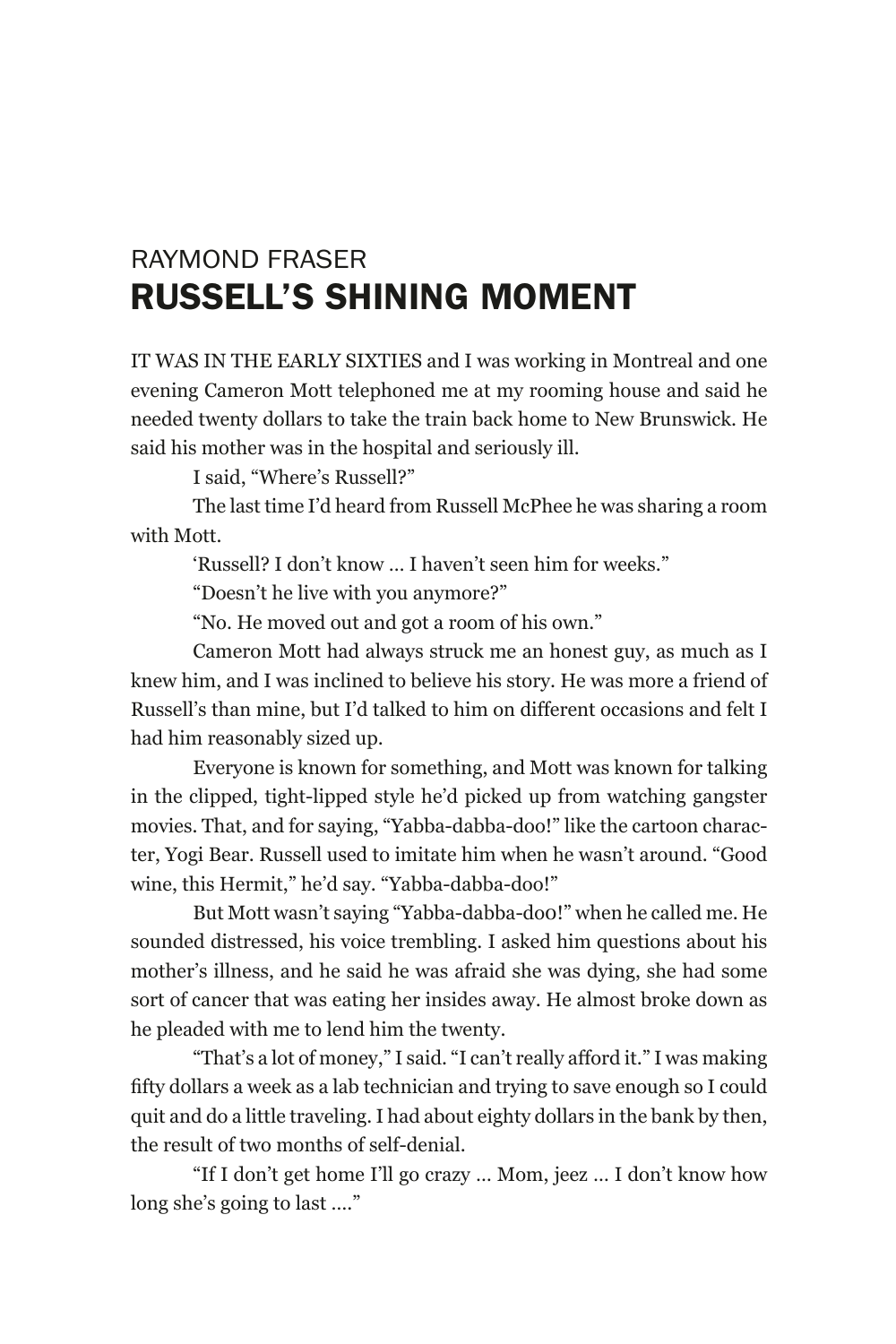## RAYMOND FRASER RUSSELL'S SHINING MOMENT

IT WAS IN THE EARLY SIXTIES and I was working in Montreal and one evening Cameron Mott telephoned me at my rooming house and said he needed twenty dollars to take the train back home to New Brunswick. He said his mother was in the hospital and seriously ill.

I said, "Where's Russell?"

The last time I'd heard from Russell McPhee he was sharing a room with Mott.

'Russell? I don't know … I haven't seen him for weeks."

"Doesn't he live with you anymore?"

"No. He moved out and got a room of his own."

Cameron Mott had always struck me an honest guy, as much as I knew him, and I was inclined to believe his story. He was more a friend of Russell's than mine, but I'd talked to him on different occasions and felt I had him reasonably sized up.

Everyone is known for something, and Mott was known for talking in the clipped, tight-lipped style he'd picked up from watching gangster movies. That, and for saying, "Yabba-dabba-doo!" like the cartoon character, Yogi Bear. Russell used to imitate him when he wasn't around. "Good wine, this Hermit," he'd say. "Yabba-dabba-doo!"

But Mott wasn't saying "Yabba-dabba-do0!" when he called me. He sounded distressed, his voice trembling. I asked him questions about his mother's illness, and he said he was afraid she was dying, she had some sort of cancer that was eating her insides away. He almost broke down as he pleaded with me to lend him the twenty.

"That's a lot of money," I said. "I can't really afford it." I was making fifty dollars a week as a lab technician and trying to save enough so I could quit and do a little traveling. I had about eighty dollars in the bank by then, the result of two months of self-denial.

"If I don't get home I'll go crazy … Mom, jeez … I don't know how long she's going to last …."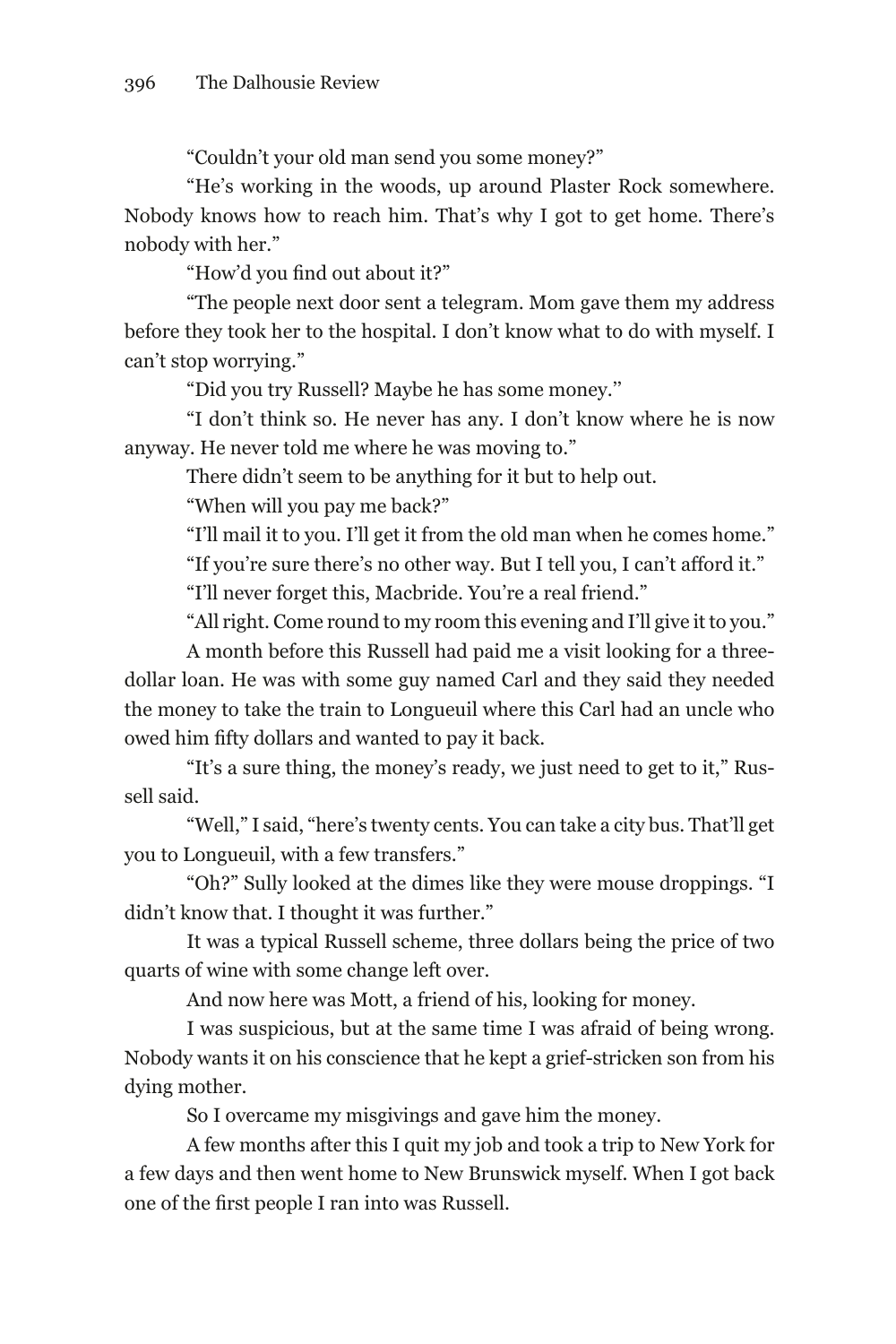"Couldn't your old man send you some money?"

"He's working in the woods, up around Plaster Rock somewhere. Nobody knows how to reach him. That's why I got to get home. There's nobody with her."

"How'd you find out about it?"

"The people next door sent a telegram. Mom gave them my address before they took her to the hospital. I don't know what to do with myself. I can't stop worrying."

"Did you try Russell? Maybe he has some money.''

"I don't think so. He never has any. I don't know where he is now anyway. He never told me where he was moving to."

There didn't seem to be anything for it but to help out.

"When will you pay me back?"

"I'll mail it to you. I'll get it from the old man when he comes home."

"If you're sure there's no other way. But I tell you, I can't afford it."

"I'll never forget this, Macbride. You're a real friend."

"All right. Come round to my room this evening and I'll give it to you."

A month before this Russell had paid me a visit looking for a threedollar loan. He was with some guy named Carl and they said they needed the money to take the train to Longueuil where this Carl had an uncle who owed him fifty dollars and wanted to pay it back.

"It's a sure thing, the money's ready, we just need to get to it," Russell said.

"Well," I said, "here's twenty cents. You can take a city bus. That'll get you to Longueuil, with a few transfers."

"Oh?" Sully looked at the dimes like they were mouse droppings. "I didn't know that. I thought it was further."

It was a typical Russell scheme, three dollars being the price of two quarts of wine with some change left over.

And now here was Mott, a friend of his, looking for money.

I was suspicious, but at the same time I was afraid of being wrong. Nobody wants it on his conscience that he kept a grief-stricken son from his dying mother.

So I overcame my misgivings and gave him the money.

A few months after this I quit my job and took a trip to New York for a few days and then went home to New Brunswick myself. When I got back one of the first people I ran into was Russell.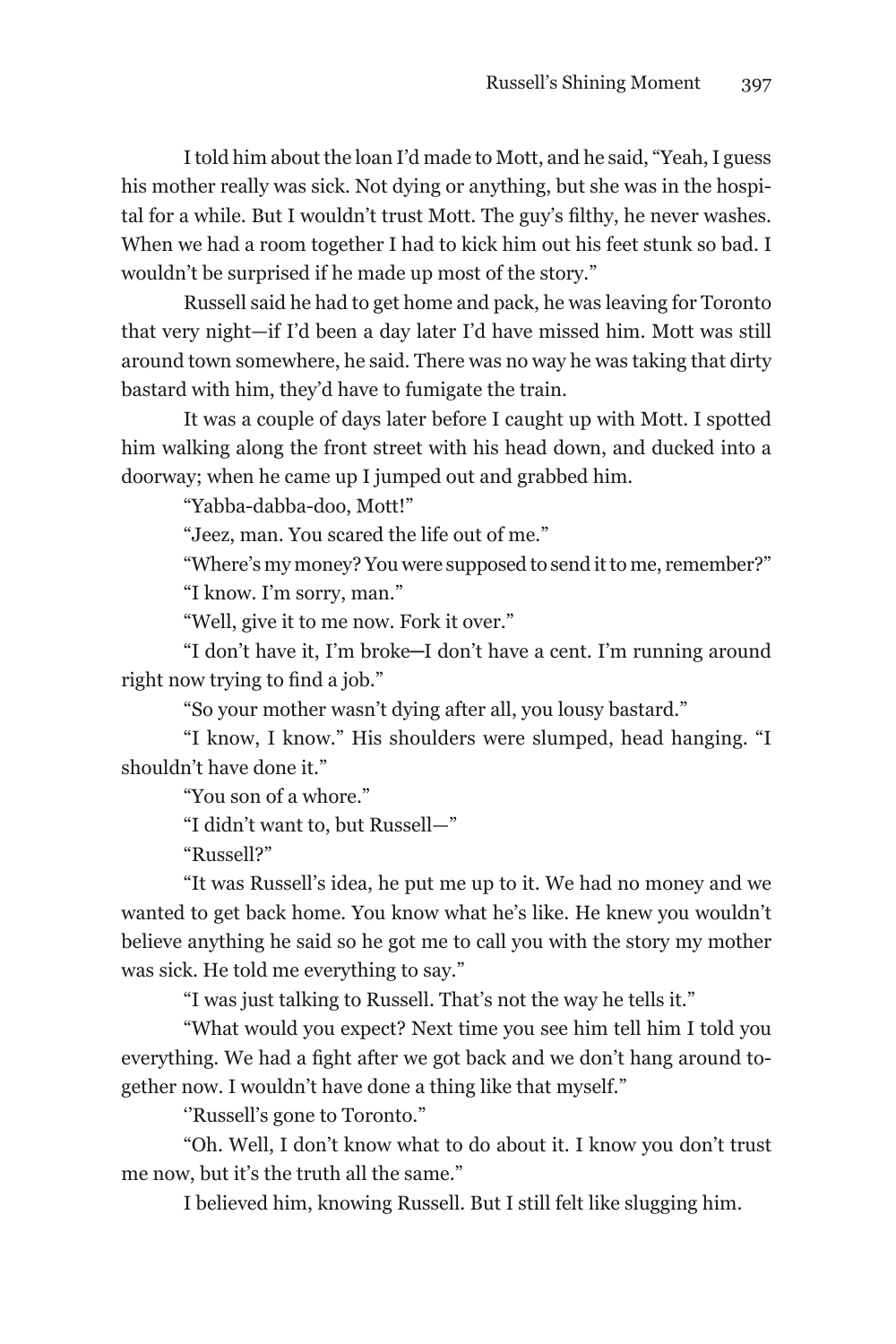I told him about the loan I'd made to Mott, and he said, "Yeah, I guess his mother really was sick. Not dying or anything, but she was in the hospital for a while. But I wouldn't trust Mott. The guy's filthy, he never washes. When we had a room together I had to kick him out his feet stunk so bad. I wouldn't be surprised if he made up most of the story."

Russell said he had to get home and pack, he was leaving for Toronto that very night—if I'd been a day later I'd have missed him. Mott was still around town somewhere, he said. There was no way he was taking that dirty bastard with him, they'd have to fumigate the train.

It was a couple of days later before I caught up with Mott. I spotted him walking along the front street with his head down, and ducked into a doorway; when he came up I jumped out and grabbed him.

"Yabba-dabba-doo, Mott!"

"Jeez, man. You scared the life out of me."

"Where's my money? You were supposed to send it to me, remember?" "I know. I'm sorry, man."

"Well, give it to me now. Fork it over."

"I don't have it, I'm broke─I don't have a cent. I'm running around right now trying to find a job."

"So your mother wasn't dying after all, you lousy bastard."

"I know, I know." His shoulders were slumped, head hanging. "I shouldn't have done it."

"You son of a whore."

"I didn't want to, but Russell—"

"Russell?"

"It was Russell's idea, he put me up to it. We had no money and we wanted to get back home. You know what he's like. He knew you wouldn't believe anything he said so he got me to call you with the story my mother was sick. He told me everything to say."

"I was just talking to Russell. That's not the way he tells it."

"What would you expect? Next time you see him tell him I told you everything. We had a fight after we got back and we don't hang around together now. I wouldn't have done a thing like that myself."

''Russell's gone to Toronto."

"Oh. Well, I don't know what to do about it. I know you don't trust me now, but it's the truth all the same."

I believed him, knowing Russell. But I still felt like slugging him.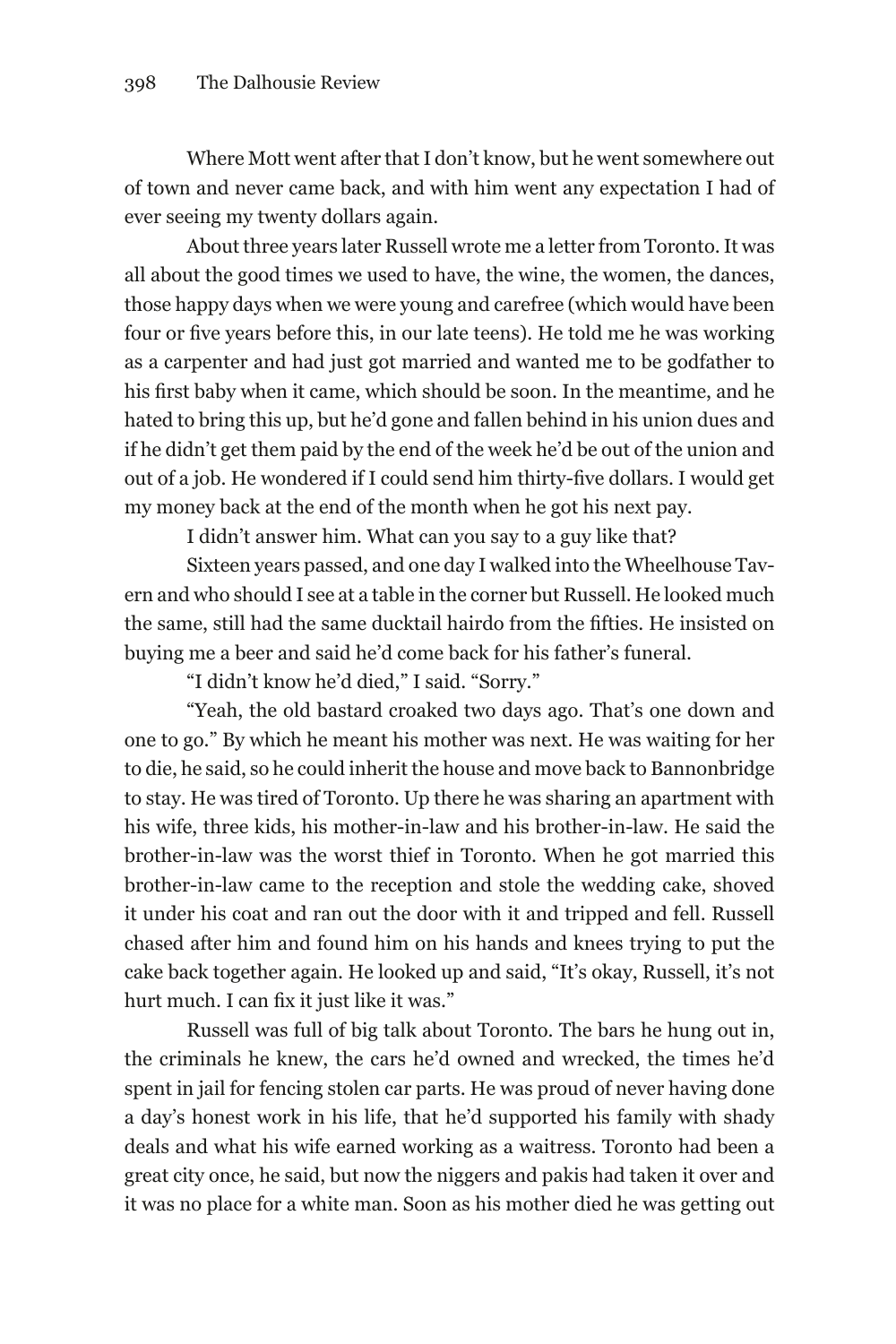Where Mott went after that I don't know, but he went somewhere out of town and never came back, and with him went any expectation I had of ever seeing my twenty dollars again.

About three years later Russell wrote me a letter from Toronto. It was all about the good times we used to have, the wine, the women, the dances, those happy days when we were young and carefree (which would have been four or five years before this, in our late teens). He told me he was working as a carpenter and had just got married and wanted me to be godfather to his first baby when it came, which should be soon. In the meantime, and he hated to bring this up, but he'd gone and fallen behind in his union dues and if he didn't get them paid by the end of the week he'd be out of the union and out of a job. He wondered if I could send him thirty-five dollars. I would get my money back at the end of the month when he got his next pay.

I didn't answer him. What can you say to a guy like that?

Sixteen years passed, and one day I walked into the Wheelhouse Tavern and who should I see at a table in the corner but Russell. He looked much the same, still had the same ducktail hairdo from the fifties. He insisted on buying me a beer and said he'd come back for his father's funeral.

"I didn't know he'd died," I said. "Sorry."

"Yeah, the old bastard croaked two days ago. That's one down and one to go." By which he meant his mother was next. He was waiting for her to die, he said, so he could inherit the house and move back to Bannonbridge to stay. He was tired of Toronto. Up there he was sharing an apartment with his wife, three kids, his mother-in-law and his brother-in-law. He said the brother-in-law was the worst thief in Toronto. When he got married this brother-in-law came to the reception and stole the wedding cake, shoved it under his coat and ran out the door with it and tripped and fell. Russell chased after him and found him on his hands and knees trying to put the cake back together again. He looked up and said, "It's okay, Russell, it's not hurt much. I can fix it just like it was."

Russell was full of big talk about Toronto. The bars he hung out in, the criminals he knew, the cars he'd owned and wrecked, the times he'd spent in jail for fencing stolen car parts. He was proud of never having done a day's honest work in his life, that he'd supported his family with shady deals and what his wife earned working as a waitress. Toronto had been a great city once, he said, but now the niggers and pakis had taken it over and it was no place for a white man. Soon as his mother died he was getting out